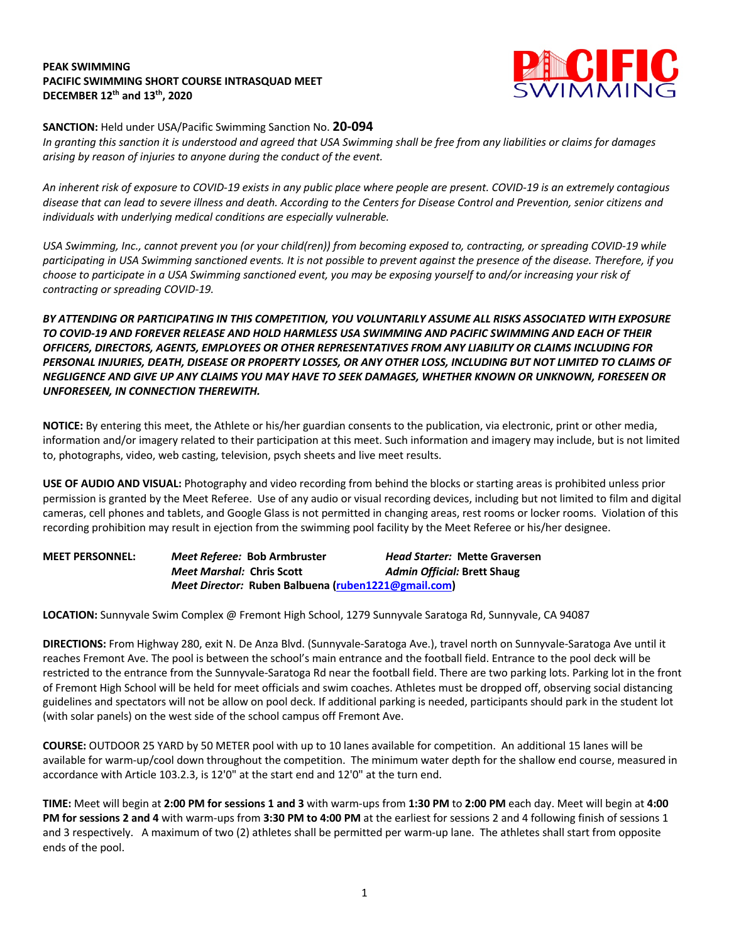## **PEAK SWIMMING PACIFIC SWIMMING SHORT COURSE INTRASQUAD MEET DECEMBER 12th and 13th, 2020**



## **SANCTION:** Held under USA/Pacific Swimming Sanction No. **20-094**

*In granting this sanction it is understood and agreed that USA Swimming shall be free from any liabilities or claims for damages arising by reason of injuries to anyone during the conduct of the event.* 

*An inherent risk of exposure to COVID-19 exists in any public place where people are present. COVID-19 is an extremely contagious disease that can lead to severe illness and death. According to the Centers for Disease Control and Prevention, senior citizens and individuals with underlying medical conditions are especially vulnerable.*

*USA Swimming, Inc., cannot prevent you (or your child(ren)) from becoming exposed to, contracting, or spreading COVID-19 while participating in USA Swimming sanctioned events. It is not possible to prevent against the presence of the disease. Therefore, if you choose to participate in a USA Swimming sanctioned event, you may be exposing yourself to and/or increasing your risk of contracting or spreading COVID-19.*

*BY ATTENDING OR PARTICIPATING IN THIS COMPETITION, YOU VOLUNTARILY ASSUME ALL RISKS ASSOCIATED WITH EXPOSURE TO COVID-19 AND FOREVER RELEASE AND HOLD HARMLESS USA SWIMMING AND PACIFIC SWIMMING AND EACH OF THEIR OFFICERS, DIRECTORS, AGENTS, EMPLOYEES OR OTHER REPRESENTATIVES FROM ANY LIABILITY OR CLAIMS INCLUDING FOR PERSONAL INJURIES, DEATH, DISEASE OR PROPERTY LOSSES, OR ANY OTHER LOSS, INCLUDING BUT NOT LIMITED TO CLAIMS OF NEGLIGENCE AND GIVE UP ANY CLAIMS YOU MAY HAVE TO SEEK DAMAGES, WHETHER KNOWN OR UNKNOWN, FORESEEN OR UNFORESEEN, IN CONNECTION THEREWITH.*

**NOTICE:** By entering this meet, the Athlete or his/her guardian consents to the publication, via electronic, print or other media, information and/or imagery related to their participation at this meet. Such information and imagery may include, but is not limited to, photographs, video, web casting, television, psych sheets and live meet results.

**USE OF AUDIO AND VISUAL:** Photography and video recording from behind the blocks or starting areas is prohibited unless prior permission is granted by the Meet Referee. Use of any audio or visual recording devices, including but not limited to film and digital cameras, cell phones and tablets, and Google Glass is not permitted in changing areas, rest rooms or locker rooms. Violation of this recording prohibition may result in ejection from the swimming pool facility by the Meet Referee or his/her designee.

| <b>MEET PERSONNEL:</b> | Meet Referee: Bob Armbruster                        |  | <b>Head Starter: Mette Graversen</b> |
|------------------------|-----------------------------------------------------|--|--------------------------------------|
|                        | <i>Meet Marshal: Chris Scott</i>                    |  | <b>Admin Official: Brett Shaug</b>   |
|                        | Meet Director: Ruben Balbuena (ruben1221@gmail.com) |  |                                      |

**LOCATION:** Sunnyvale Swim Complex @ Fremont High School, 1279 Sunnyvale Saratoga Rd, Sunnyvale, CA 94087

**DIRECTIONS:** From Highway 280, exit N. De Anza Blvd. (Sunnyvale-Saratoga Ave.), travel north on Sunnyvale-Saratoga Ave until it reaches Fremont Ave. The pool is between the school's main entrance and the football field. Entrance to the pool deck will be restricted to the entrance from the Sunnyvale-Saratoga Rd near the football field. There are two parking lots. Parking lot in the front of Fremont High School will be held for meet officials and swim coaches. Athletes must be dropped off, observing social distancing guidelines and spectators will not be allow on pool deck. If additional parking is needed, participants should park in the student lot (with solar panels) on the west side of the school campus off Fremont Ave.

**COURSE:** OUTDOOR 25 YARD by 50 METER pool with up to 10 lanes available for competition. An additional 15 lanes will be available for warm-up/cool down throughout the competition. The minimum water depth for the shallow end course, measured in accordance with Article 103.2.3, is 12'0" at the start end and 12'0" at the turn end.

**TIME:** Meet will begin at **2:00 PM for sessions 1 and 3** with warm-ups from **1:30 PM** to **2:00 PM** each day. Meet will begin at **4:00 PM for sessions 2 and 4** with warm-ups from **3:30 PM to 4:00 PM** at the earliest for sessions 2 and 4 following finish of sessions 1 and 3 respectively. A maximum of two (2) athletes shall be permitted per warm-up lane. The athletes shall start from opposite ends of the pool.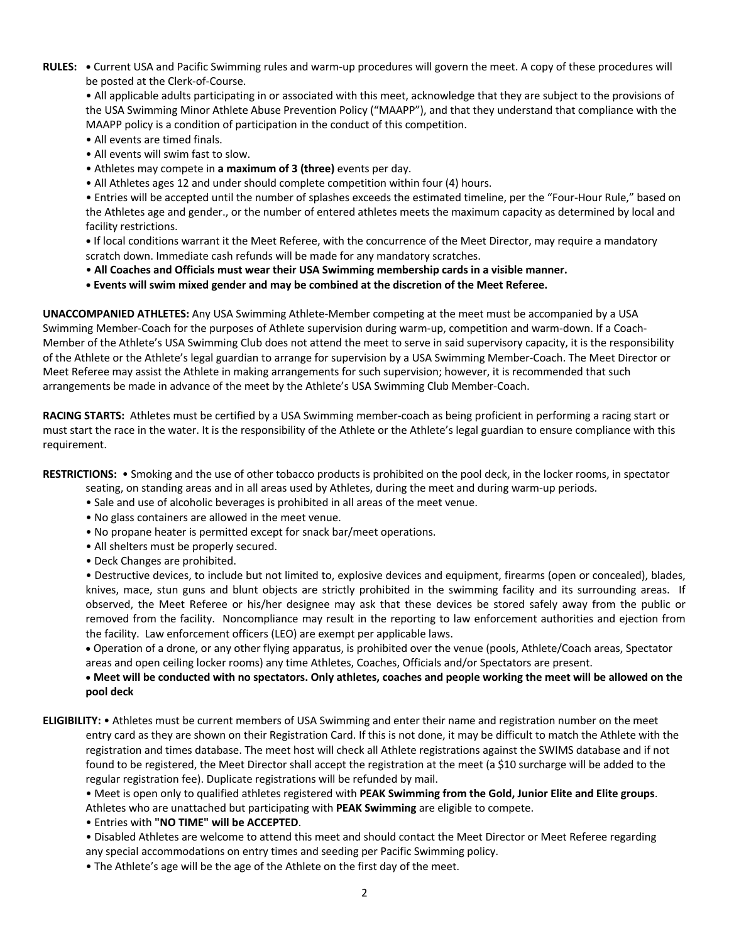**RULES: •** Current USA and Pacific Swimming rules and warm-up procedures will govern the meet. A copy of these procedures will be posted at the Clerk-of-Course.

• All applicable adults participating in or associated with this meet, acknowledge that they are subject to the provisions of the USA Swimming Minor Athlete Abuse Prevention Policy ("MAAPP"), and that they understand that compliance with the MAAPP policy is a condition of participation in the conduct of this competition.

- All events are timed finals.
- All events will swim fast to slow.
- Athletes may compete in **a maximum of 3 (three)** events per day.
- All Athletes ages 12 and under should complete competition within four (4) hours.

• Entries will be accepted until the number of splashes exceeds the estimated timeline, per the "Four-Hour Rule," based on the Athletes age and gender., or the number of entered athletes meets the maximum capacity as determined by local and facility restrictions.

**•** If local conditions warrant it the Meet Referee, with the concurrence of the Meet Director, may require a mandatory scratch down. Immediate cash refunds will be made for any mandatory scratches.

• **All Coaches and Officials must wear their USA Swimming membership cards in a visible manner.** 

**• Events will swim mixed gender and may be combined at the discretion of the Meet Referee.**

**UNACCOMPANIED ATHLETES:** Any USA Swimming Athlete-Member competing at the meet must be accompanied by a USA Swimming Member-Coach for the purposes of Athlete supervision during warm-up, competition and warm-down. If a Coach-Member of the Athlete's USA Swimming Club does not attend the meet to serve in said supervisory capacity, it is the responsibility of the Athlete or the Athlete's legal guardian to arrange for supervision by a USA Swimming Member-Coach. The Meet Director or Meet Referee may assist the Athlete in making arrangements for such supervision; however, it is recommended that such arrangements be made in advance of the meet by the Athlete's USA Swimming Club Member-Coach.

**RACING STARTS:** Athletes must be certified by a USA Swimming member-coach as being proficient in performing a racing start or must start the race in the water. It is the responsibility of the Athlete or the Athlete's legal guardian to ensure compliance with this requirement.

**RESTRICTIONS:** • Smoking and the use of other tobacco products is prohibited on the pool deck, in the locker rooms, in spectator

- seating, on standing areas and in all areas used by Athletes, during the meet and during warm-up periods.
- Sale and use of alcoholic beverages is prohibited in all areas of the meet venue.
- No glass containers are allowed in the meet venue.
- No propane heater is permitted except for snack bar/meet operations.
- All shelters must be properly secured.
- Deck Changes are prohibited.

• Destructive devices, to include but not limited to, explosive devices and equipment, firearms (open or concealed), blades, knives, mace, stun guns and blunt objects are strictly prohibited in the swimming facility and its surrounding areas. If observed, the Meet Referee or his/her designee may ask that these devices be stored safely away from the public or removed from the facility. Noncompliance may result in the reporting to law enforcement authorities and ejection from the facility. Law enforcement officers (LEO) are exempt per applicable laws.

• Operation of a drone, or any other flying apparatus, is prohibited over the venue (pools, Athlete/Coach areas, Spectator areas and open ceiling locker rooms) any time Athletes, Coaches, Officials and/or Spectators are present.

• **Meet will be conducted with no spectators. Only athletes, coaches and people working the meet will be allowed on the pool deck**

**ELIGIBILITY:** • Athletes must be current members of USA Swimming and enter their name and registration number on the meet entry card as they are shown on their Registration Card. If this is not done, it may be difficult to match the Athlete with the registration and times database. The meet host will check all Athlete registrations against the SWIMS database and if not found to be registered, the Meet Director shall accept the registration at the meet (a \$10 surcharge will be added to the regular registration fee). Duplicate registrations will be refunded by mail.

• Meet is open only to qualified athletes registered with **PEAK Swimming from the Gold, Junior Elite and Elite groups**. Athletes who are unattached but participating with **PEAK Swimming** are eligible to compete.

• Entries with **"NO TIME" will be ACCEPTED**.

- Disabled Athletes are welcome to attend this meet and should contact the Meet Director or Meet Referee regarding any special accommodations on entry times and seeding per Pacific Swimming policy.
- The Athlete's age will be the age of the Athlete on the first day of the meet.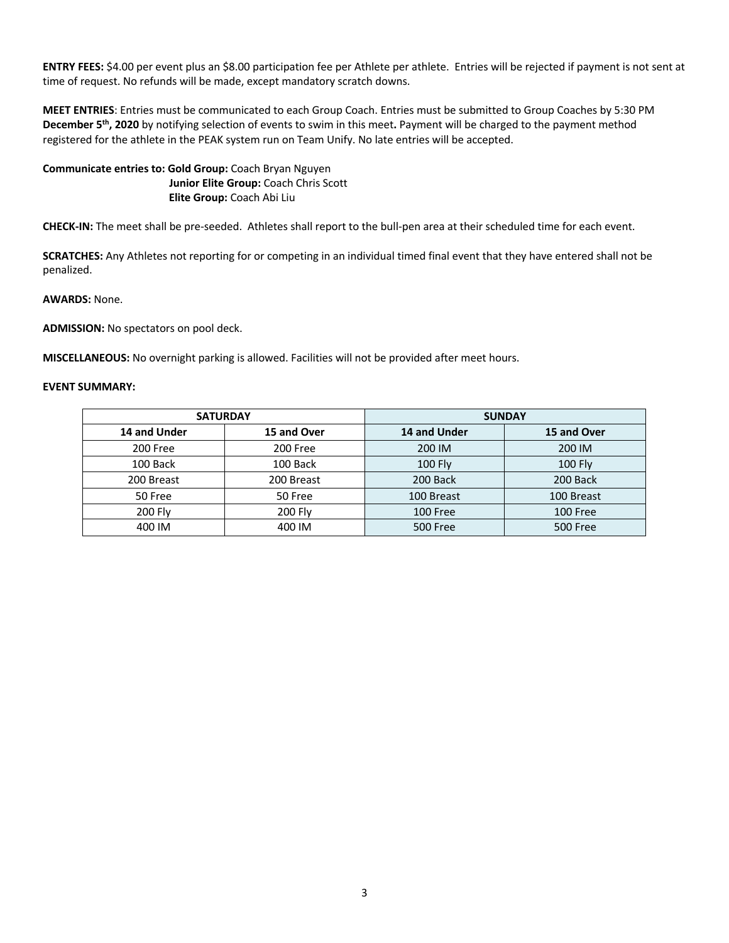**ENTRY FEES:** \$4.00 per event plus an \$8.00 participation fee per Athlete per athlete. Entries will be rejected if payment is not sent at time of request. No refunds will be made, except mandatory scratch downs.

**MEET ENTRIES**: Entries must be communicated to each Group Coach. Entries must be submitted to Group Coaches by 5:30 PM **December 5th, 2020** by notifying selection of events to swim in this meet**.** Payment will be charged to the payment method registered for the athlete in the PEAK system run on Team Unify. No late entries will be accepted.

**Communicate entries to: Gold Group:** Coach Bryan Nguyen  **Junior Elite Group:** Coach Chris Scott  **Elite Group:** Coach Abi Liu

**CHECK-IN:** The meet shall be pre-seeded. Athletes shall report to the bull-pen area at their scheduled time for each event.

**SCRATCHES:** Any Athletes not reporting for or competing in an individual timed final event that they have entered shall not be penalized.

**AWARDS:** None.

**ADMISSION:** No spectators on pool deck.

**MISCELLANEOUS:** No overnight parking is allowed. Facilities will not be provided after meet hours.

## **EVENT SUMMARY:**

| <b>SATURDAY</b> |             | <b>SUNDAY</b> |                 |  |
|-----------------|-------------|---------------|-----------------|--|
| 14 and Under    | 15 and Over | 14 and Under  | 15 and Over     |  |
| 200 Free        | 200 Free    | 200 IM        | 200 IM          |  |
| 100 Back        | 100 Back    | $100$ Fly     | <b>100 Fly</b>  |  |
| 200 Breast      | 200 Breast  | 200 Back      | 200 Back        |  |
| 50 Free         | 50 Free     | 100 Breast    | 100 Breast      |  |
| 200 Fly         | 200 Fly     | 100 Free      | 100 Free        |  |
| 400 IM          | 400 IM      | 500 Free      | <b>500 Free</b> |  |